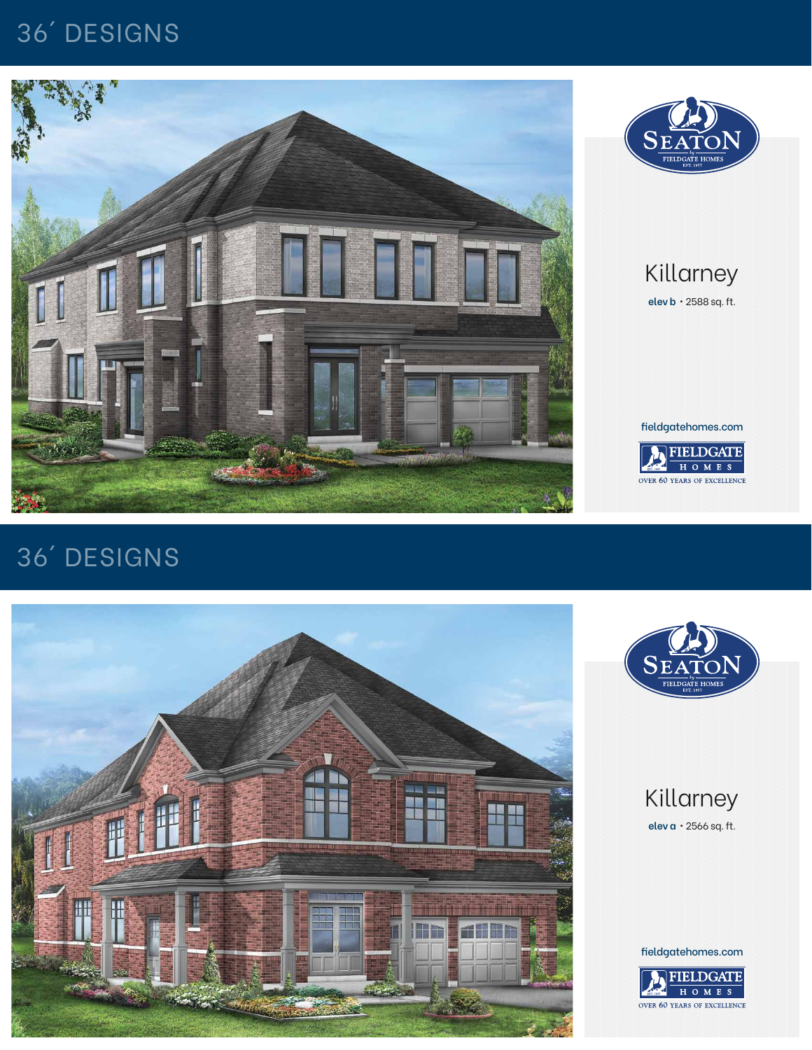### Killarney

**elev a** • 2566 sq. ft.

# 36´ DESIGNS





fieldgatehomes.com



#### Killarney **elev b** • 2588 sq. ft.

## 36´ DESIGNS





fieldgatehomes.com